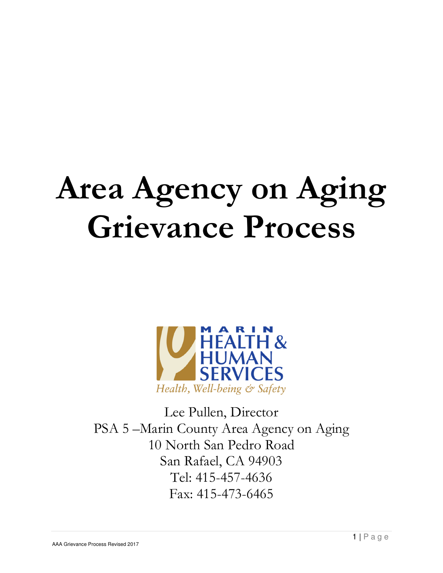# Area Agency on Aging Grievance Process



Lee Pullen, Director PSA 5 –Marin County Area Agency on Aging 10 North San Pedro Road San Rafael, CA 94903 Tel: 415-457-4636 Fax: 415-473-6465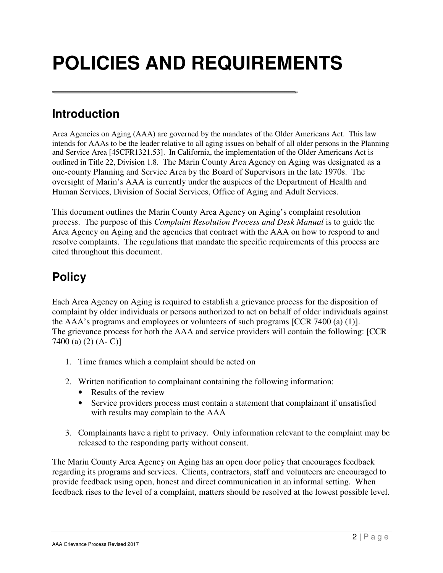# **POLICIES AND REQUIREMENTS**

# **Introduction**

Area Agencies on Aging (AAA) are governed by the mandates of the Older Americans Act. This law intends for AAAs to be the leader relative to all aging issues on behalf of all older persons in the Planning and Service Area [45CFR1321.53]. In California, the implementation of the Older Americans Act is outlined in Title 22, Division 1.8. The Marin County Area Agency on Aging was designated as a one-county Planning and Service Area by the Board of Supervisors in the late 1970s. The oversight of Marin's AAA is currently under the auspices of the Department of Health and Human Services, Division of Social Services, Office of Aging and Adult Services.

This document outlines the Marin County Area Agency on Aging's complaint resolution process. The purpose of this *Complaint Resolution Process and Desk Manual* is to guide the Area Agency on Aging and the agencies that contract with the AAA on how to respond to and resolve complaints. The regulations that mandate the specific requirements of this process are cited throughout this document.

# **Policy**

Each Area Agency on Aging is required to establish a grievance process for the disposition of complaint by older individuals or persons authorized to act on behalf of older individuals against the AAA's programs and employees or volunteers of such programs [CCR 7400 (a) (1)]. The grievance process for both the AAA and service providers will contain the following: [CCR 7400 (a) (2) (A- C)]

- 1. Time frames which a complaint should be acted on
- 2. Written notification to complainant containing the following information:
	- Results of the review
	- Service providers process must contain a statement that complainant if unsatisfied with results may complain to the AAA
- 3. Complainants have a right to privacy. Only information relevant to the complaint may be released to the responding party without consent.

The Marin County Area Agency on Aging has an open door policy that encourages feedback regarding its programs and services. Clients, contractors, staff and volunteers are encouraged to provide feedback using open, honest and direct communication in an informal setting. When feedback rises to the level of a complaint, matters should be resolved at the lowest possible level.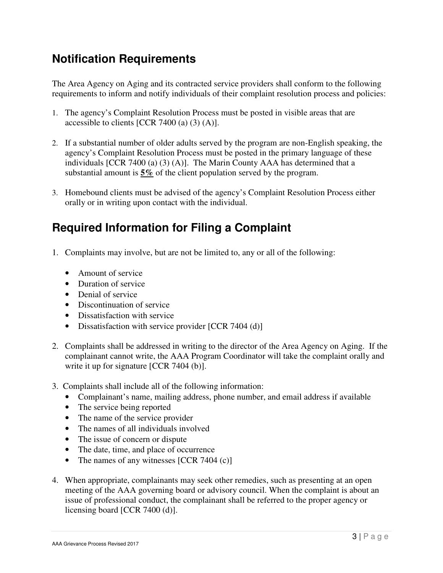# **Notification Requirements**

The Area Agency on Aging and its contracted service providers shall conform to the following requirements to inform and notify individuals of their complaint resolution process and policies:

- 1. The agency's Complaint Resolution Process must be posted in visible areas that are accessible to clients [CCR 7400 (a)  $(3)$  (A)].
- 2. If a substantial number of older adults served by the program are non-English speaking, the agency's Complaint Resolution Process must be posted in the primary language of these individuals [CCR 7400 (a) (3) (A)]. The Marin County AAA has determined that a substantial amount is **5%** of the client population served by the program.
- 3. Homebound clients must be advised of the agency's Complaint Resolution Process either orally or in writing upon contact with the individual.

# **Required Information for Filing a Complaint**

- 1. Complaints may involve, but are not be limited to, any or all of the following:
	- Amount of service
	- Duration of service
	- Denial of service
	- Discontinuation of service
	- Dissatisfaction with service
	- Dissatisfaction with service provider [CCR 7404 (d)]
- 2. Complaints shall be addressed in writing to the director of the Area Agency on Aging. If the complainant cannot write, the AAA Program Coordinator will take the complaint orally and write it up for signature [CCR 7404 (b)].
- 3. Complaints shall include all of the following information:
	- Complainant's name, mailing address, phone number, and email address if available
	- The service being reported
	- The name of the service provider
	- The names of all individuals involved
	- The issue of concern or dispute
	- The date, time, and place of occurrence
	- The names of any witnesses [CCR 7404 (c)]
- 4. When appropriate, complainants may seek other remedies, such as presenting at an open meeting of the AAA governing board or advisory council. When the complaint is about an issue of professional conduct, the complainant shall be referred to the proper agency or licensing board [CCR 7400 (d)].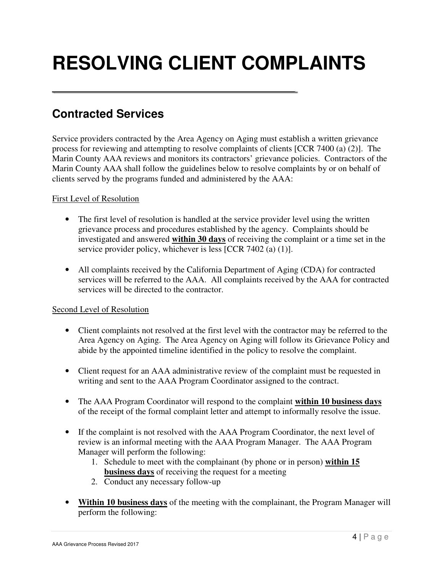# **RESOLVING CLIENT COMPLAINTS**

### **Contracted Services**

Service providers contracted by the Area Agency on Aging must establish a written grievance process for reviewing and attempting to resolve complaints of clients [CCR 7400 (a) (2)]. The Marin County AAA reviews and monitors its contractors' grievance policies. Contractors of the Marin County AAA shall follow the guidelines below to resolve complaints by or on behalf of clients served by the programs funded and administered by the AAA:

#### First Level of Resolution

- The first level of resolution is handled at the service provider level using the written grievance process and procedures established by the agency. Complaints should be investigated and answered **within 30 days** of receiving the complaint or a time set in the service provider policy, whichever is less [CCR 7402 (a) (1)].
- All complaints received by the California Department of Aging (CDA) for contracted services will be referred to the AAA. All complaints received by the AAA for contracted services will be directed to the contractor.

### Second Level of Resolution

- Client complaints not resolved at the first level with the contractor may be referred to the Area Agency on Aging. The Area Agency on Aging will follow its Grievance Policy and abide by the appointed timeline identified in the policy to resolve the complaint.
- Client request for an AAA administrative review of the complaint must be requested in writing and sent to the AAA Program Coordinator assigned to the contract.
- The AAA Program Coordinator will respond to the complaint **within 10 business days** of the receipt of the formal complaint letter and attempt to informally resolve the issue.
- If the complaint is not resolved with the AAA Program Coordinator, the next level of review is an informal meeting with the AAA Program Manager. The AAA Program Manager will perform the following:
	- 1. Schedule to meet with the complainant (by phone or in person) **within 15 business days** of receiving the request for a meeting
	- 2. Conduct any necessary follow-up
- **Within 10 business days** of the meeting with the complainant, the Program Manager will perform the following: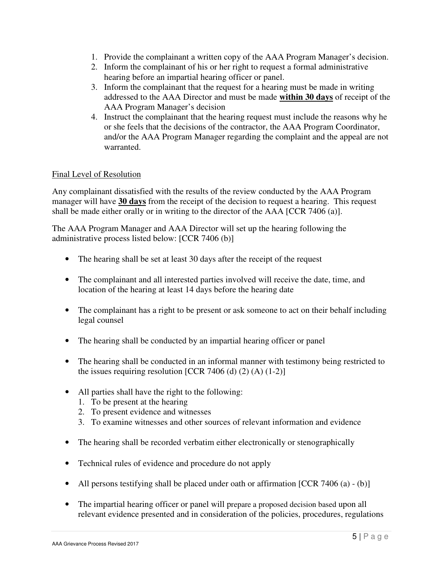- 1. Provide the complainant a written copy of the AAA Program Manager's decision.
- 2. Inform the complainant of his or her right to request a formal administrative hearing before an impartial hearing officer or panel.
- 3. Inform the complainant that the request for a hearing must be made in writing addressed to the AAA Director and must be made **within 30 days** of receipt of the AAA Program Manager's decision
- 4. Instruct the complainant that the hearing request must include the reasons why he or she feels that the decisions of the contractor, the AAA Program Coordinator, and/or the AAA Program Manager regarding the complaint and the appeal are not warranted.

### Final Level of Resolution

Any complainant dissatisfied with the results of the review conducted by the AAA Program manager will have **30 days** from the receipt of the decision to request a hearing. This request shall be made either orally or in writing to the director of the AAA [CCR 7406 (a)].

The AAA Program Manager and AAA Director will set up the hearing following the administrative process listed below: [CCR 7406 (b)]

- The hearing shall be set at least 30 days after the receipt of the request
- The complainant and all interested parties involved will receive the date, time, and location of the hearing at least 14 days before the hearing date
- The complainant has a right to be present or ask someone to act on their behalf including legal counsel
- The hearing shall be conducted by an impartial hearing officer or panel
- The hearing shall be conducted in an informal manner with testimony being restricted to the issues requiring resolution  $[CCR\ 7406\ (d)\ (2)\ (A)\ (1-2)]$
- All parties shall have the right to the following:
	- 1. To be present at the hearing
	- 2. To present evidence and witnesses
	- 3. To examine witnesses and other sources of relevant information and evidence
- The hearing shall be recorded verbatim either electronically or stenographically
- Technical rules of evidence and procedure do not apply
- All persons testifying shall be placed under oath or affirmation [CCR 7406 (a) (b)]
- The impartial hearing officer or panel will prepare a proposed decision based upon all relevant evidence presented and in consideration of the policies, procedures, regulations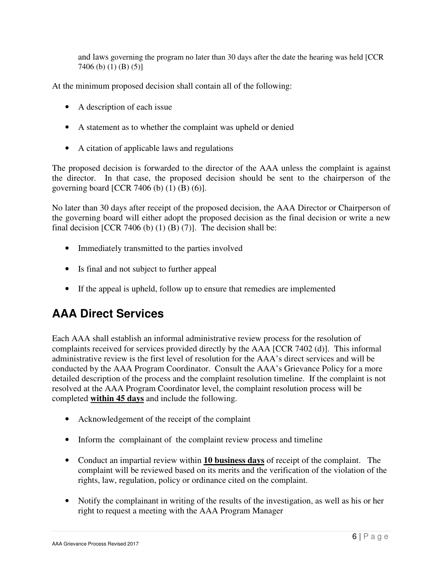and laws governing the program no later than 30 days after the date the hearing was held [CCR 7406 (b) (1) (B) (5)]

At the minimum proposed decision shall contain all of the following:

- A description of each issue
- A statement as to whether the complaint was upheld or denied
- A citation of applicable laws and regulations

The proposed decision is forwarded to the director of the AAA unless the complaint is against the director. In that case, the proposed decision should be sent to the chairperson of the governing board [CCR 7406 (b)  $(1)$  (B)  $(6)$ ].

No later than 30 days after receipt of the proposed decision, the AAA Director or Chairperson of the governing board will either adopt the proposed decision as the final decision or write a new final decision  $[CCR 7406 (b) (1) (B) (7)]$ . The decision shall be:

- Immediately transmitted to the parties involved
- Is final and not subject to further appeal
- If the appeal is upheld, follow up to ensure that remedies are implemented

### **AAA Direct Services**

Each AAA shall establish an informal administrative review process for the resolution of complaints received for services provided directly by the AAA [CCR 7402 (d)]. This informal administrative review is the first level of resolution for the AAA's direct services and will be conducted by the AAA Program Coordinator. Consult the AAA's Grievance Policy for a more detailed description of the process and the complaint resolution timeline. If the complaint is not resolved at the AAA Program Coordinator level, the complaint resolution process will be completed **within 45 days** and include the following.

- Acknowledgement of the receipt of the complaint
- Inform the complainant of the complaint review process and timeline
- Conduct an impartial review within **10 business days** of receipt of the complaint. The complaint will be reviewed based on its merits and the verification of the violation of the rights, law, regulation, policy or ordinance cited on the complaint.
- Notify the complainant in writing of the results of the investigation, as well as his or her right to request a meeting with the AAA Program Manager